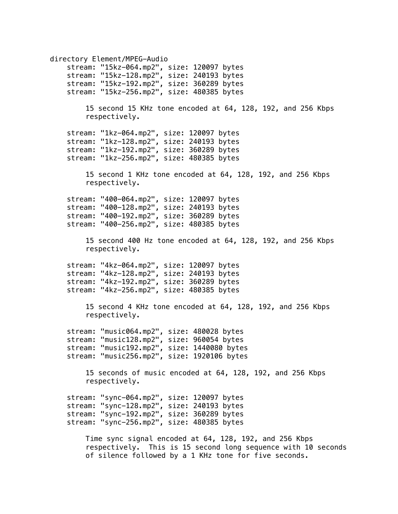directory Element/MPEG-Audio stream: "15kz-064.mp2", size: 120097 bytes stream: "15kz-128.mp2", size: 240193 bytes stream: "15kz-192.mp2", size: 360289 bytes stream: "15kz-256.mp2", size: 480385 bytes 15 second 15 KHz tone encoded at 64, 128, 192, and 256 Kbps respectively. stream: "1kz-064.mp2", size: 120097 bytes stream: "1kz-128.mp2", size: 240193 bytes stream: "1kz-192.mp2", size: 360289 bytes stream: "1kz-256.mp2", size: 480385 bytes 15 second 1 KHz tone encoded at 64, 128, 192, and 256 Kbps respectively. stream: "400-064.mp2", size: 120097 bytes stream: "400-128.mp2", size: 240193 bytes stream: "400-192.mp2", size: 360289 bytes stream: "400-256.mp2", size: 480385 bytes 15 second 400 Hz tone encoded at 64, 128, 192, and 256 Kbps respectively. stream: "4kz-064.mp2", size: 120097 bytes stream: "4kz-128.mp2", size: 240193 bytes stream: "4kz-192.mp2", size: 360289 bytes stream: "4kz-256.mp2", size: 480385 bytes 15 second 4 KHz tone encoded at 64, 128, 192, and 256 Kbps respectively. stream: "music064.mp2", size: 480028 bytes stream: "music128.mp2", size: 960054 bytes stream: "music192.mp2", size: 1440080 bytes stream: "music256.mp2", size: 1920106 bytes 15 seconds of music encoded at 64, 128, 192, and 256 Kbps respectively. stream: "sync-064.mp2", size: 120097 bytes stream: "sync-128.mp2", size: 240193 bytes stream: "sync-192.mp2", size: 360289 bytes stream: "sync-256.mp2", size: 480385 bytes Time sync signal encoded at 64, 128, 192, and 256 Kbps respectively. This is 15 second long sequence with 10 seconds

of silence followed by a 1 KHz tone for five seconds.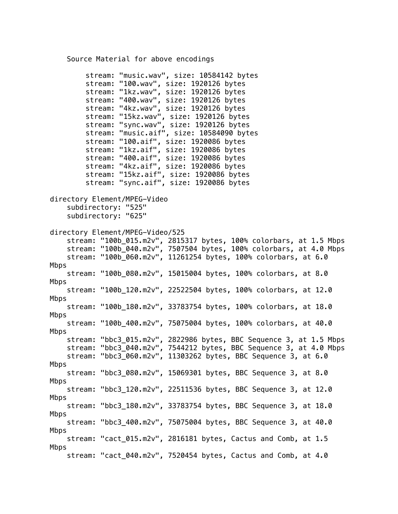## Source Material for above encodings

stream: "music.wav", size: 10584142 bytes stream: "100.wav", size: 1920126 bytes stream: "1kz.wav", size: 1920126 bytes stream: "400.wav", size: 1920126 bytes stream: "4kz.wav", size: 1920126 bytes stream: "15kz.wav", size: 1920126 bytes stream: "sync.wav", size: 1920126 bytes stream: "music.aif", size: 10584090 bytes stream: "100.aif", size: 1920086 bytes stream: "1kz.aif", size: 1920086 bytes stream: "400.aif", size: 1920086 bytes stream: "4kz.aif", size: 1920086 bytes stream: "15kz.aif", size: 1920086 bytes stream: "sync.aif", size: 1920086 bytes directory Element/MPEG-Video subdirectory: "525" subdirectory: "625" directory Element/MPEG-Video/525 stream: "100b\_015.m2v", 2815317 bytes, 100% colorbars, at 1.5 Mbps stream: "100b\_040.m2v", 7507504 bytes, 100% colorbars, at 4.0 Mbps stream: "100b\_060.m2v", 11261254 bytes, 100% colorbars, at 6.0 Mbps stream: "100b\_080.m2v", 15015004 bytes, 100% colorbars, at 8.0 Mbps stream: "100b\_120.m2v", 22522504 bytes, 100% colorbars, at 12.0 Mbps stream: "100b\_180.m2v", 33783754 bytes, 100% colorbars, at 18.0 Mbps stream: "100b\_400.m2v", 75075004 bytes, 100% colorbars, at 40.0 Mbps stream: "bbc3\_015.m2v", 2822986 bytes, BBC Sequence 3, at 1.5 Mbps stream: "bbc3\_040.m2v", 7544212 bytes, BBC Sequence 3, at 4.0 Mbps stream: "bbc3\_060.m2v", 11303262 bytes, BBC Sequence 3, at 6.0 Mbps stream: "bbc3\_080.m2v", 15069301 bytes, BBC Sequence 3, at 8.0 Mbps stream: "bbc3\_120.m2v", 22511536 bytes, BBC Sequence 3, at 12.0 Mbps stream: "bbc3\_180.m2v", 33783754 bytes, BBC Sequence 3, at 18.0 Mbps stream: "bbc3\_400.m2v", 75075004 bytes, BBC Sequence 3, at 40.0 Mbps stream: "cact\_015.m2v", 2816181 bytes, Cactus and Comb, at 1.5 Mbps stream: "cact\_040.m2v", 7520454 bytes, Cactus and Comb, at 4.0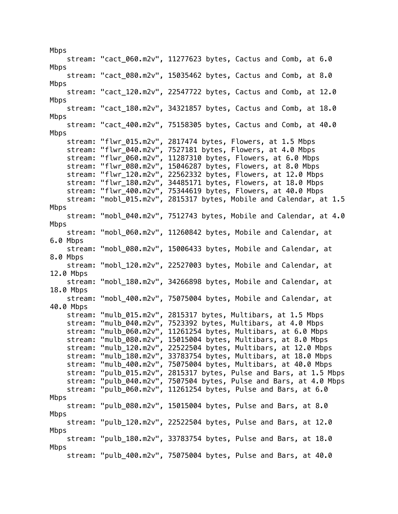Mbps stream: "cact\_060.m2v", 11277623 bytes, Cactus and Comb, at 6.0 Mbps stream: "cact\_080.m2v", 15035462 bytes, Cactus and Comb, at 8.0 Mbps stream: "cact\_120.m2v", 22547722 bytes, Cactus and Comb, at 12.0 Mbps stream: "cact\_180.m2v", 34321857 bytes, Cactus and Comb, at 18.0 Mbps stream: "cact\_400.m2v", 75158305 bytes, Cactus and Comb, at 40.0 Mbps stream: "flwr\_015.m2v", 2817474 bytes, Flowers, at 1.5 Mbps stream: "flwr\_040.m2v", 7527181 bytes, Flowers, at 4.0 Mbps stream: "flwr\_060.m2v", 11287310 bytes, Flowers, at 6.0 Mbps stream: "flwr\_080.m2v", 15046287 bytes, Flowers, at 8.0 Mbps stream: "flwr\_120.m2v", 22562332 bytes, Flowers, at 12.0 Mbps stream: "flwr\_180.m2v", 34485171 bytes, Flowers, at 18.0 Mbps stream: "flwr\_400.m2v", 75344619 bytes, Flowers, at 40.0 Mbps stream: "mobl\_015.m2v", 2815317 bytes, Mobile and Calendar, at 1.5 Mbps stream: "mobl\_040.m2v", 7512743 bytes, Mobile and Calendar, at 4.0 Mbps stream: "mobl\_060.m2v", 11260842 bytes, Mobile and Calendar, at 6.0 Mbps stream: "mobl\_080.m2v", 15006433 bytes, Mobile and Calendar, at 8.0 Mbps stream: "mobl\_120.m2v", 22527003 bytes, Mobile and Calendar, at 12.0 Mbps stream: "mobl\_180.m2v", 34266898 bytes, Mobile and Calendar, at 18.0 Mbps stream: "mobl\_400.m2v", 75075004 bytes, Mobile and Calendar, at 40.0 Mbps stream: "mulb\_015.m2v", 2815317 bytes, Multibars, at 1.5 Mbps stream: "mulb\_040.m2v", 7523392 bytes, Multibars, at 4.0 Mbps stream: "mulb\_060.m2v", 11261254 bytes, Multibars, at 6.0 Mbps stream: "mulb\_080.m2v", 15015004 bytes, Multibars, at 8.0 Mbps stream: "mulb\_120.m2v", 22522504 bytes, Multibars, at 12.0 Mbps stream: "mulb\_180.m2v", 33783754 bytes, Multibars, at 18.0 Mbps stream: "mulb\_400.m2v", 75075004 bytes, Multibars, at 40.0 Mbps stream: "pulb\_015.m2v", 2815317 bytes, Pulse and Bars, at 1.5 Mbps stream: "pulb\_040.m2v", 7507504 bytes, Pulse and Bars, at 4.0 Mbps stream: "pulb\_060.m2v", 11261254 bytes, Pulse and Bars, at 6.0 Mbps stream: "pulb\_080.m2v", 15015004 bytes, Pulse and Bars, at 8.0 Mbps stream: "pulb\_120.m2v", 22522504 bytes, Pulse and Bars, at 12.0 Mbps stream: "pulb\_180.m2v", 33783754 bytes, Pulse and Bars, at 18.0 Mbps stream: "pulb\_400.m2v", 75075004 bytes, Pulse and Bars, at 40.0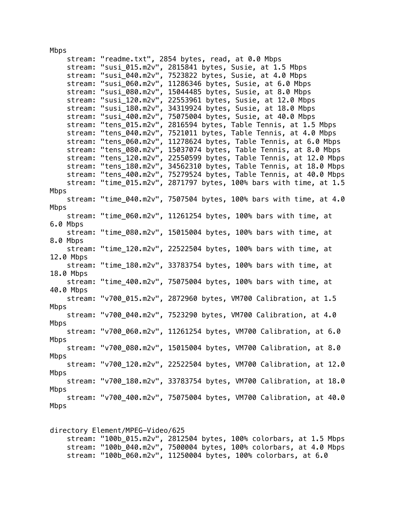Mbps

| stream:   |                     | "readme.txt", 2854 bytes, read, at 0.0 Mbps                        |
|-----------|---------------------|--------------------------------------------------------------------|
| stream:   |                     | "susi_015.m2v", 2815841 bytes, Susie, at 1.5 Mbps                  |
| stream:   | "susi_040.m2v",     | 7523822 bytes, Susie, at 4.0 Mbps                                  |
| stream:   | "susi_060.m2v",     | 11286346 bytes, Susie, at 6.0 Mbps                                 |
| stream:   | "susi_080.m2v",     | 15044485 bytes, Susie, at 8.0 Mbps                                 |
| stream:   | "susi_120.m2 $v$ ", | 22553961 bytes, Susie, at 12.0 Mbps                                |
| stream:   | "susi 180.m2v",     | 34319924 bytes, Susie, at 18.0 Mbps                                |
| stream:   | "susi_400.m2v",     | 75075004 bytes, Susie, at 40.0 Mbps                                |
| stream:   | "tens_015.m2v",     | 2816594 bytes, Table Tennis, at 1.5 Mbps                           |
| stream:   | "tens_040.m2v",     | 7521011 bytes, Table Tennis, at 4.0 Mbps                           |
| stream:   | "tens_060.m2v",     | 11278624 bytes, Table Tennis, at 6.0 Mbps                          |
| stream:   |                     | "tens_080.m2v", 15037074 bytes, Table Tennis, at 8.0 Mbps          |
| stream:   |                     | "tens_120.m2v", 22550599 bytes, Table Tennis, at 12.0 Mbps         |
| stream:   | "tens_180.m2v",     | 34562310 bytes, Table Tennis, at 18.0 Mbps                         |
| stream:   |                     | "tens_400.m2v", 75279524 bytes, Table Tennis, at 40.0 Mbps         |
| stream:   |                     | "time_015.m2v", 2871797 bytes, 100% bars with time, at 1.5         |
| Mbps      |                     |                                                                    |
|           |                     | stream: "time_040.m2v", 7507504 bytes, 100% bars with time, at 4.0 |
| Mbps      |                     |                                                                    |
|           |                     | stream: "time_060.m2v", 11261254 bytes, 100% bars with time, at    |
| 6.0 Mbps  |                     |                                                                    |
|           |                     | stream: "time_080.m2v", 15015004 bytes, 100% bars with time, at    |
| 8.0 Mbps  |                     |                                                                    |
|           |                     | stream: "time_120.m2v", 22522504 bytes, 100% bars with time, at    |
| 12.0 Mbps |                     |                                                                    |
|           |                     | stream: "time_180.m2v", 33783754 bytes, 100% bars with time, at    |
| 18.0 Mbps |                     |                                                                    |
| stream:   |                     | "time_400.m2v", 75075004 bytes, 100% bars with time, at            |
| 40.0 Mbps |                     |                                                                    |
| stream:   |                     | "v700_015.m2v", 2872960 bytes, VM700 Calibration, at 1.5           |
| Mbps      |                     |                                                                    |
|           |                     | stream: "v700_040.m2v", 7523290 bytes, VM700 Calibration, at 4.0   |
| Mbps      |                     |                                                                    |
|           |                     | stream: "v700_060.m2v", 11261254 bytes, VM700 Calibration, at 6.0  |
| Mbps      |                     |                                                                    |
|           |                     | stream: "v700_080.m2v", 15015004 bytes, VM700 Calibration, at 8.0  |
| Mbps      |                     |                                                                    |
|           |                     | stream: "v700_120.m2v", 22522504 bytes, VM700 Calibration, at 12.0 |
| Mbps      |                     |                                                                    |
|           |                     | stream: "v700 180.m2v", 33783754 bytes, VM700 Calibration, at 18.0 |
| Mbps      |                     |                                                                    |
|           |                     | stream: "v700_400.m2v", 75075004 bytes, VM700 Calibration, at 40.0 |
| Mbps      |                     |                                                                    |
|           |                     |                                                                    |

directory Element/MPEG-Video/625 stream: "100b\_015.m2v", 2812504 bytes, 100% colorbars, at 1.5 Mbps stream: "100b\_040.m2v", 7500004 bytes, 100% colorbars, at 4.0 Mbps stream: "100b\_060.m2v", 11250004 bytes, 100% colorbars, at 6.0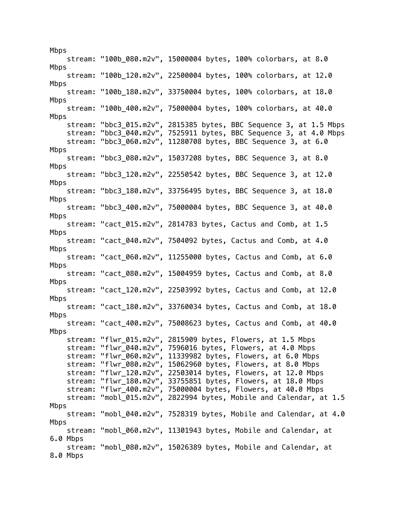Mbps stream: "100b\_080.m2v", 15000004 bytes, 100% colorbars, at 8.0 Mbps stream: "100b\_120.m2v", 22500004 bytes, 100% colorbars, at 12.0 Mbps stream: "100b\_180.m2v", 33750004 bytes, 100% colorbars, at 18.0 Mbps stream: "100b\_400.m2v", 75000004 bytes, 100% colorbars, at 40.0 Mbps stream: "bbc3\_015.m2v", 2815385 bytes, BBC Sequence 3, at 1.5 Mbps stream: "bbc3\_040.m2v", 7525911 bytes, BBC Sequence 3, at 4.0 Mbps stream: "bbc3\_060.m2v", 11280708 bytes, BBC Sequence 3, at 6.0 Mbps stream: "bbc3\_080.m2v", 15037208 bytes, BBC Sequence 3, at 8.0 Mbps stream: "bbc3\_120.m2v", 22550542 bytes, BBC Sequence 3, at 12.0 Mbps stream: "bbc3\_180.m2v", 33756495 bytes, BBC Sequence 3, at 18.0 Mbps stream: "bbc3\_400.m2v", 75000004 bytes, BBC Sequence 3, at 40.0 Mbps stream: "cact\_015.m2v", 2814783 bytes, Cactus and Comb, at 1.5 Mbps stream: "cact\_040.m2v", 7504092 bytes, Cactus and Comb, at 4.0 Mbps stream: "cact\_060.m2v", 11255000 bytes, Cactus and Comb, at 6.0 Mbps stream: "cact\_080.m2v", 15004959 bytes, Cactus and Comb, at 8.0 Mbps stream: "cact\_120.m2v", 22503992 bytes, Cactus and Comb, at 12.0 Mbps stream: "cact\_180.m2v", 33760034 bytes, Cactus and Comb, at 18.0 Mbps stream: "cact\_400.m2v", 75008623 bytes, Cactus and Comb, at 40.0 Mbps stream: "flwr\_015.m2v", 2815909 bytes, Flowers, at 1.5 Mbps stream: "flwr\_040.m2v", 7596016 bytes, Flowers, at 4.0 Mbps stream: "flwr\_060.m2v", 11339982 bytes, Flowers, at 6.0 Mbps stream: "flwr\_080.m2v", 15062960 bytes, Flowers, at 8.0 Mbps stream: "flwr\_120.m2v", 22503014 bytes, Flowers, at 12.0 Mbps stream: "flwr\_180.m2v", 33755851 bytes, Flowers, at 18.0 Mbps stream: "flwr\_400.m2v", 75000004 bytes, Flowers, at 40.0 Mbps stream: "mobl\_015.m2v", 2822994 bytes, Mobile and Calendar, at 1.5 Mbps stream: "mobl\_040.m2v", 7528319 bytes, Mobile and Calendar, at 4.0 Mbps stream: "mobl\_060.m2v", 11301943 bytes, Mobile and Calendar, at 6.0 Mbps stream: "mobl\_080.m2v", 15026389 bytes, Mobile and Calendar, at 8.0 Mbps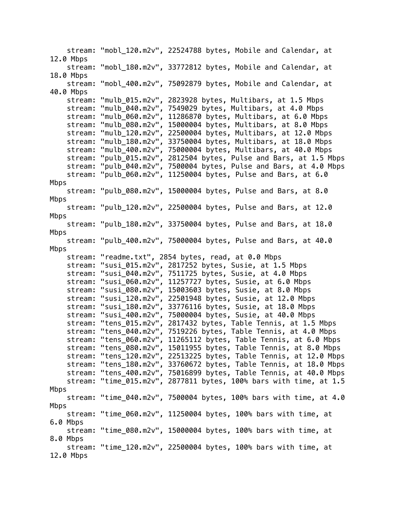stream: "mobl\_120.m2v", 22524788 bytes, Mobile and Calendar, at 12.0 Mbps stream: "mobl\_180.m2v", 33772812 bytes, Mobile and Calendar, at 18.0 Mbps stream: "mobl\_400.m2v", 75092879 bytes, Mobile and Calendar, at 40.0 Mbps stream: "mulb\_015.m2v", 2823928 bytes, Multibars, at 1.5 Mbps stream: "mulb\_040.m2v", 7549029 bytes, Multibars, at 4.0 Mbps stream: "mulb\_060.m2v", 11286870 bytes, Multibars, at 6.0 Mbps stream: "mulb\_080.m2v", 15000004 bytes, Multibars, at 8.0 Mbps stream: "mulb\_120.m2v", 22500004 bytes, Multibars, at 12.0 Mbps stream: "mulb\_180.m2v", 33750004 bytes, Multibars, at 18.0 Mbps stream: "mulb\_400.m2v", 75000004 bytes, Multibars, at 40.0 Mbps stream: "pulb\_015.m2v", 2812504 bytes, Pulse and Bars, at 1.5 Mbps stream: "pulb\_040.m2v", 7500004 bytes, Pulse and Bars, at 4.0 Mbps stream: "pulb\_060.m2v", 11250004 bytes, Pulse and Bars, at 6.0 Mbps stream: "pulb\_080.m2v", 15000004 bytes, Pulse and Bars, at 8.0 Mbps stream: "pulb\_120.m2v", 22500004 bytes, Pulse and Bars, at 12.0 Mbps stream: "pulb\_180.m2v", 33750004 bytes, Pulse and Bars, at 18.0 Mbps stream: "pulb\_400.m2v", 75000004 bytes, Pulse and Bars, at 40.0 Mbps stream: "readme.txt", 2854 bytes, read, at 0.0 Mbps stream: "susi\_015.m2v", 2817252 bytes, Susie, at 1.5 Mbps stream: "susi\_040.m2v", 7511725 bytes, Susie, at 4.0 Mbps stream: "susi\_060.m2v", 11257727 bytes, Susie, at 6.0 Mbps stream: "susi\_080.m2v", 15003603 bytes, Susie, at 8.0 Mbps stream: "susi\_120.m2v", 22501948 bytes, Susie, at 12.0 Mbps stream: "susi\_180.m2v", 33776116 bytes, Susie, at 18.0 Mbps stream: "susi\_400.m2v", 75000004 bytes, Susie, at 40.0 Mbps stream: "tens\_015.m2v", 2817432 bytes, Table Tennis, at 1.5 Mbps stream: "tens\_040.m2v", 7519226 bytes, Table Tennis, at 4.0 Mbps stream: "tens\_060.m2v", 11265112 bytes, Table Tennis, at 6.0 Mbps stream: "tens\_080.m2v", 15011955 bytes, Table Tennis, at 8.0 Mbps stream: "tens\_120.m2v", 22513225 bytes, Table Tennis, at 12.0 Mbps stream: "tens\_180.m2v", 33760672 bytes, Table Tennis, at 18.0 Mbps stream: "tens\_400.m2v", 75016899 bytes, Table Tennis, at 40.0 Mbps stream: "time\_015.m2v", 2877811 bytes, 100% bars with time, at 1.5 Mbps stream: "time\_040.m2v", 7500004 bytes, 100% bars with time, at 4.0 Mbps stream: "time\_060.m2v", 11250004 bytes, 100% bars with time, at 6.0 Mbps stream: "time\_080.m2v", 15000004 bytes, 100% bars with time, at 8.0 Mbps stream: "time\_120.m2v", 22500004 bytes, 100% bars with time, at 12.0 Mbps